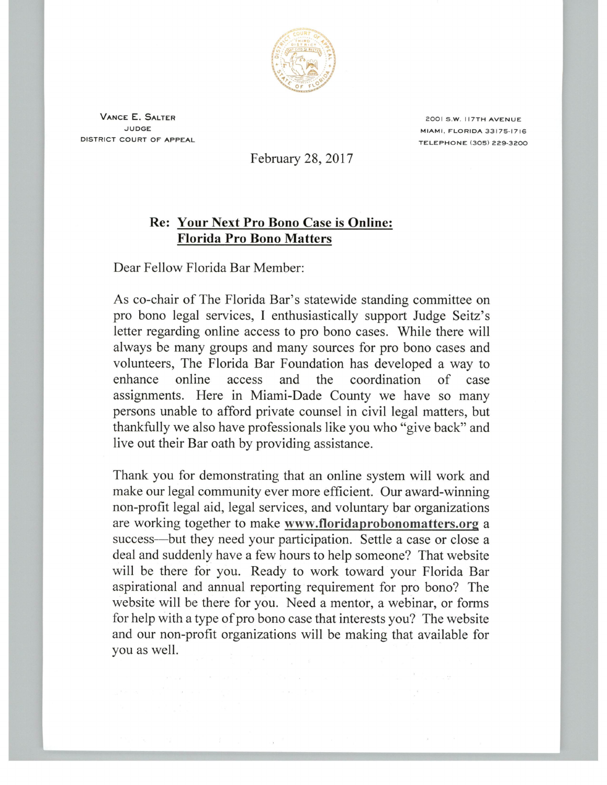

Vance E. Salter judge district court of appeal

2OOI S.W. I7TH AVENUE MIAMI. FLORIDA 33175-1716 TELEPHONE (3O5) 229-3200

February 28, 2017

## Re: Your Next Pro Bono Case is Online: Florida Pro Bono Matters

Dear Fellow Florida Bar Member:

 $\frac{1}{2} \delta \frac{\partial}{\partial \theta} \left( \frac{\partial}{\partial \theta} \right) = \frac{1}{2} \left[ \frac{\partial}{\partial \theta} \right] \left( \frac{\partial}{\partial \theta} \right) = \frac{1}{2} \left( \frac{\partial}{\partial \theta} \right) \left( \frac{\partial}{\partial \theta} \right) = \frac{1}{2} \left( \frac{\partial}{\partial \theta} \right)$ 

As co-chair of The Florida Bar's statewide standing committee on pro bono legal services, I enthusiastically support Judge Seitz's letter regarding online access to pro bono cases. While there will always be many groups and many sources for pro bono cases and volunteers, The Florida Bar Foundation has developed a way to enhance online access and the coordination of case assignments. Here in Miami-Dade County we have so many persons unable to afford private counsel in civil legal matters, but thankfully we also have professionals like you who "give back" and live out their Bar oath by providing assistance.

Thank you for demonstrating that an online system will work and make our legal community ever more efficient. Our award-winning non-profit legal aid, legal services, and voluntary bar organizations are working together to make www.floridaprobonomatters.org success—but they need your participation. Settle a case or close a deal and suddenly have a few hours to help someone? That website will be there for you. Ready to work toward your Florida Bar aspirational and annual reporting requirement for pro bono? The website will be there for you. Need a mentor, a webinar, or forms for help with a type of pro bono case that interests you? The website and our non-profit organizations will be making that available for you as well.

 $\label{eq:3.1} \mathbb{E} \left[ \begin{array}{cc} \mathbb{E} & \mathbb{E} & \mathbb{E} \\ \mathbb{E} & \mathbb{E} & \mathbb{E} \\ \mathbb{E} & \mathbb{E} & \mathbb{E} \end{array} \right] \mathbb{E} \left[ \begin{array}{cc} \mathbb{E} & \mathbb{E} & \mathbb{E} \\ \mathbb{E} & \mathbb{E} & \mathbb{E} \\ \mathbb{E} & \mathbb{E} & \mathbb{E} \end{array} \right]$